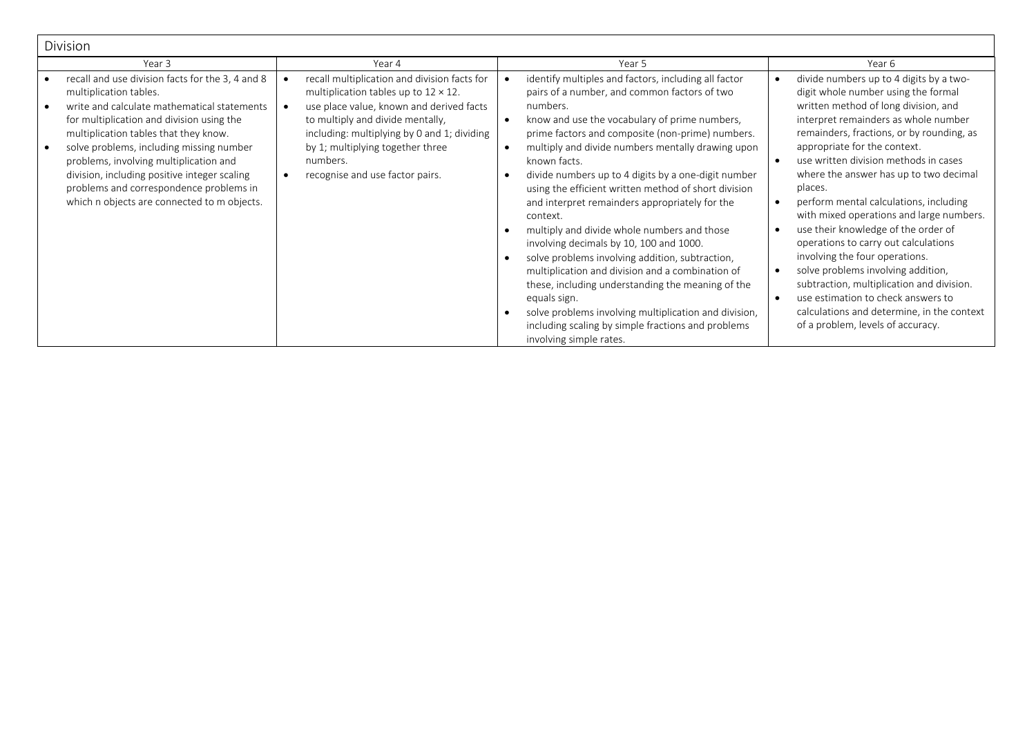| <b>Division</b>                                                                                                                                                                                                                                                                                                                                                                                                                                 |                                                                                                                                                                                                                                                                                                                |                                                                                                                                                                                                                                                                                                                                                                                                                                                                                                                                                                                                                                                                                                                                                                                                                                                                                                                   |                                                                                                                                                                                                                                                                                                                                                                                                                                                                                                                                                                                                                                                                                                                                                                                        |
|-------------------------------------------------------------------------------------------------------------------------------------------------------------------------------------------------------------------------------------------------------------------------------------------------------------------------------------------------------------------------------------------------------------------------------------------------|----------------------------------------------------------------------------------------------------------------------------------------------------------------------------------------------------------------------------------------------------------------------------------------------------------------|-------------------------------------------------------------------------------------------------------------------------------------------------------------------------------------------------------------------------------------------------------------------------------------------------------------------------------------------------------------------------------------------------------------------------------------------------------------------------------------------------------------------------------------------------------------------------------------------------------------------------------------------------------------------------------------------------------------------------------------------------------------------------------------------------------------------------------------------------------------------------------------------------------------------|----------------------------------------------------------------------------------------------------------------------------------------------------------------------------------------------------------------------------------------------------------------------------------------------------------------------------------------------------------------------------------------------------------------------------------------------------------------------------------------------------------------------------------------------------------------------------------------------------------------------------------------------------------------------------------------------------------------------------------------------------------------------------------------|
| Year 3                                                                                                                                                                                                                                                                                                                                                                                                                                          | Year 4                                                                                                                                                                                                                                                                                                         | Year 5                                                                                                                                                                                                                                                                                                                                                                                                                                                                                                                                                                                                                                                                                                                                                                                                                                                                                                            | Year 6                                                                                                                                                                                                                                                                                                                                                                                                                                                                                                                                                                                                                                                                                                                                                                                 |
| recall and use division facts for the 3, 4 and 8<br>multiplication tables.<br>write and calculate mathematical statements<br>for multiplication and division using the<br>multiplication tables that they know.<br>solve problems, including missing number<br>problems, involving multiplication and<br>division, including positive integer scaling<br>problems and correspondence problems in<br>which n objects are connected to m objects. | recall multiplication and division facts for<br>multiplication tables up to $12 \times 12$ .<br>use place value, known and derived facts<br>to multiply and divide mentally,<br>including: multiplying by 0 and 1; dividing<br>by 1; multiplying together three<br>numbers.<br>recognise and use factor pairs. | identify multiples and factors, including all factor<br>pairs of a number, and common factors of two<br>numbers.<br>know and use the vocabulary of prime numbers,<br>$\bullet$<br>prime factors and composite (non-prime) numbers.<br>multiply and divide numbers mentally drawing upon<br>$\bullet$<br>known facts.<br>divide numbers up to 4 digits by a one-digit number<br>using the efficient written method of short division<br>and interpret remainders appropriately for the<br>context.<br>multiply and divide whole numbers and those<br>involving decimals by 10, 100 and 1000.<br>solve problems involving addition, subtraction,<br>multiplication and division and a combination of<br>these, including understanding the meaning of the<br>equals sign.<br>solve problems involving multiplication and division,<br>including scaling by simple fractions and problems<br>involving simple rates. | divide numbers up to 4 digits by a two-<br>digit whole number using the formal<br>written method of long division, and<br>interpret remainders as whole number<br>remainders, fractions, or by rounding, as<br>appropriate for the context.<br>use written division methods in cases<br>$\bullet$<br>where the answer has up to two decimal<br>places.<br>perform mental calculations, including<br>with mixed operations and large numbers.<br>use their knowledge of the order of<br>operations to carry out calculations<br>involving the four operations.<br>solve problems involving addition,<br>$\bullet$<br>subtraction, multiplication and division.<br>use estimation to check answers to<br>calculations and determine, in the context<br>of a problem, levels of accuracy. |